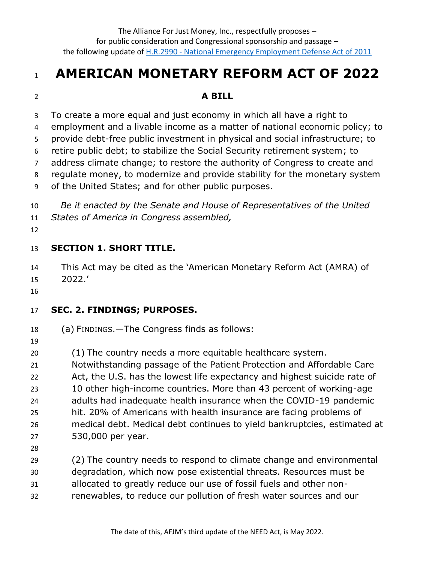# **AMERICAN MONETARY REFORM ACT OF 2022**

#### **A BILL**

To create a more equal and just economy in which all have a right to

employment and a livable income as a matter of national economic policy; to

provide debt-free public investment in physical and social infrastructure; to

retire public debt; to stabilize the Social Security retirement system; to

address climate change; to restore the authority of Congress to create and

regulate money, to modernize and provide stability for the monetary system

of the United States; and for other public purposes.

 *Be it enacted by the Senate and House of Representatives of the United States of America in Congress assembled,* 

#### **SECTION 1. SHORT TITLE.**

 This Act may be cited as the 'American Monetary Reform Act (AMRA) of 2022.'

#### **SEC. 2. FINDINGS; PURPOSES.**

- (a) FINDINGS.—The Congress finds as follows:
- 

(1) The country needs a more equitable healthcare system.

 Notwithstanding passage of the Patient Protection and Affordable Care 22 Act, the U.S. has the lowest life expectancy and highest suicide rate of 10 other high-income countries. More than 43 percent of working-age adults had inadequate health insurance when the COVID-19 pandemic hit. 20% of Americans with health insurance are facing problems of medical debt. Medical debt continues to yield bankruptcies, estimated at 530,000 per year.

 (2) The country needs to respond to climate change and environmental degradation, which now pose existential threats. Resources must be allocated to greatly reduce our use of fossil fuels and other non-renewables, to reduce our pollution of fresh water sources and our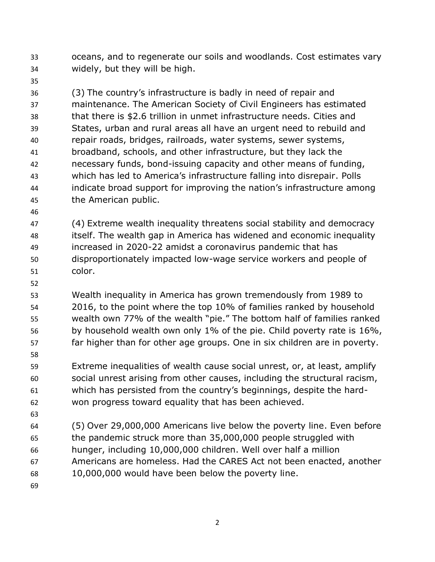oceans, and to regenerate our soils and woodlands. Cost estimates vary widely, but they will be high.

- (3) The country's infrastructure is badly in need of repair and maintenance. The American Society of Civil Engineers has estimated that there is \$2.6 trillion in unmet infrastructure needs. Cities and States, urban and rural areas all have an urgent need to rebuild and repair roads, bridges, railroads, water systems, sewer systems, broadband, schools, and other infrastructure, but they lack the necessary funds, bond-issuing capacity and other means of funding, which has led to America's infrastructure falling into disrepair. Polls indicate broad support for improving the nation's infrastructure among the American public.
- 

 (4) Extreme wealth inequality threatens social stability and democracy itself. The wealth gap in America has widened and economic inequality increased in 2020-22 amidst a coronavirus pandemic that has disproportionately impacted low-wage service workers and people of color.

 Wealth inequality in America has grown tremendously from 1989 to 2016, to the point where the top 10% of families ranked by household wealth own 77% of the wealth "pie." The bottom half of families ranked 56 by household wealth own only 1% of the pie. Child poverty rate is 16%, far higher than for other age groups. One in six children are in poverty.

 Extreme inequalities of wealth cause social unrest, or, at least, amplify social unrest arising from other causes, including the structural racism, which has persisted from the country's beginnings, despite the hard-won progress toward equality that has been achieved.

 (5) Over 29,000,000 Americans live below the poverty line. Even before the pandemic struck more than 35,000,000 people struggled with hunger, including 10,000,000 children. Well over half a million Americans are homeless. Had the CARES Act not been enacted, another 10,000,000 would have been below the poverty line.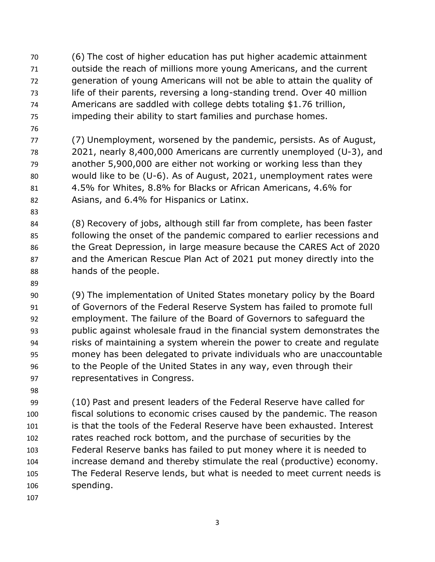- (6) The cost of higher education has put higher academic attainment outside the reach of millions more young Americans, and the current generation of young Americans will not be able to attain the quality of life of their parents, reversing a long-standing trend. Over 40 million Americans are saddled with college debts totaling \$1.76 trillion, impeding their ability to start families and purchase homes.
- 

 (7) Unemployment, worsened by the pandemic, persists. As of August, 2021, nearly 8,400,000 Americans are currently unemployed (U-3), and another 5,900,000 are either not working or working less than they would like to be (U-6). As of August, 2021, unemployment rates were 4.5% for Whites, 8.8% for Blacks or African Americans, 4.6% for Asians, and 6.4% for Hispanics or Latinx.

 (8) Recovery of jobs, although still far from complete, has been faster following the onset of the pandemic compared to earlier recessions and the Great Depression, in large measure because the CARES Act of 2020 and the American Rescue Plan Act of 2021 put money directly into the hands of the people.

 (9) The implementation of United States monetary policy by the Board of Governors of the Federal Reserve System has failed to promote full employment. The failure of the Board of Governors to safeguard the public against wholesale fraud in the financial system demonstrates the risks of maintaining a system wherein the power to create and regulate money has been delegated to private individuals who are unaccountable 96 to the People of the United States in any way, even through their representatives in Congress.

 (10) Past and present leaders of the Federal Reserve have called for fiscal solutions to economic crises caused by the pandemic. The reason is that the tools of the Federal Reserve have been exhausted. Interest rates reached rock bottom, and the purchase of securities by the Federal Reserve banks has failed to put money where it is needed to increase demand and thereby stimulate the real (productive) economy. The Federal Reserve lends, but what is needed to meet current needs is spending.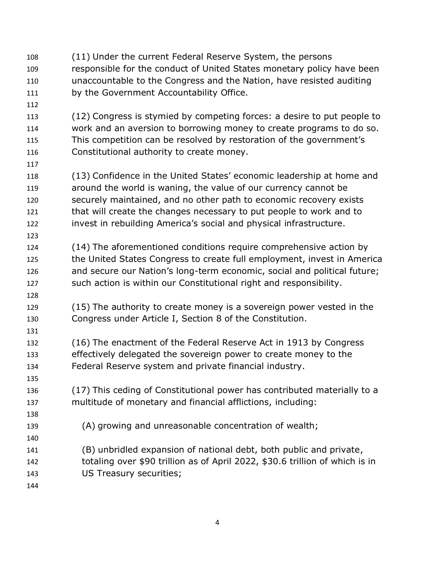(11) Under the current Federal Reserve System, the persons responsible for the conduct of United States monetary policy have been unaccountable to the Congress and the Nation, have resisted auditing by the Government Accountability Office. (12) Congress is stymied by competing forces: a desire to put people to work and an aversion to borrowing money to create programs to do so. This competition can be resolved by restoration of the government's Constitutional authority to create money. (13) Confidence in the United States' economic leadership at home and around the world is waning, the value of our currency cannot be securely maintained, and no other path to economic recovery exists that will create the changes necessary to put people to work and to invest in rebuilding America's social and physical infrastructure. (14) The aforementioned conditions require comprehensive action by the United States Congress to create full employment, invest in America and secure our Nation's long-term economic, social and political future; such action is within our Constitutional right and responsibility. (15) The authority to create money is a sovereign power vested in the Congress under Article I, Section 8 of the Constitution. (16) The enactment of the Federal Reserve Act in 1913 by Congress effectively delegated the sovereign power to create money to the Federal Reserve system and private financial industry. (17) This ceding of Constitutional power has contributed materially to a multitude of monetary and financial afflictions, including: (A) growing and unreasonable concentration of wealth; (B) unbridled expansion of national debt, both public and private, totaling over \$90 trillion as of April 2022, \$30.6 trillion of which is in US Treasury securities;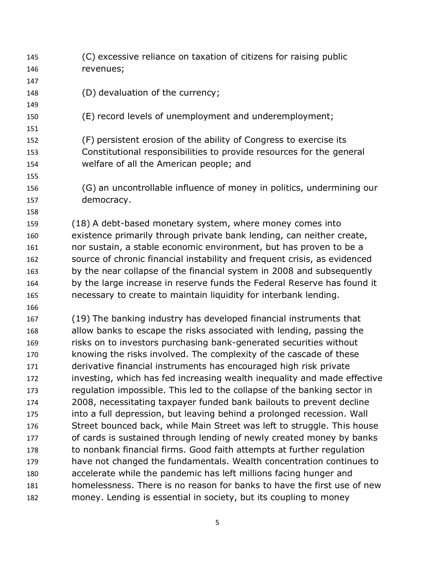| 145 | (C) excessive reliance on taxation of citizens for raising public         |
|-----|---------------------------------------------------------------------------|
| 146 | revenues;                                                                 |
| 147 |                                                                           |
| 148 | (D) devaluation of the currency;                                          |
| 149 |                                                                           |
| 150 | (E) record levels of unemployment and underemployment;                    |
| 151 |                                                                           |
| 152 | (F) persistent erosion of the ability of Congress to exercise its         |
| 153 | Constitutional responsibilities to provide resources for the general      |
| 154 | welfare of all the American people; and                                   |
| 155 |                                                                           |
| 156 | (G) an uncontrollable influence of money in politics, undermining our     |
| 157 | democracy.                                                                |
| 158 |                                                                           |
| 159 | (18) A debt-based monetary system, where money comes into                 |
| 160 | existence primarily through private bank lending, can neither create,     |
| 161 | nor sustain, a stable economic environment, but has proven to be a        |
| 162 | source of chronic financial instability and frequent crisis, as evidenced |
| 163 | by the near collapse of the financial system in 2008 and subsequently     |
| 164 | by the large increase in reserve funds the Federal Reserve has found it   |
| 165 | necessary to create to maintain liquidity for interbank lending.          |
| 166 |                                                                           |
| 167 | (19) The banking industry has developed financial instruments that        |
| 168 | allow banks to escape the risks associated with lending, passing the      |
| 169 | risks on to investors purchasing bank-generated securities without        |
| 170 | knowing the risks involved. The complexity of the cascade of these        |
| 171 | derivative financial instruments has encouraged high risk private         |
| 172 | investing, which has fed increasing wealth inequality and made effective  |
| 173 | regulation impossible. This led to the collapse of the banking sector in  |
| 174 | 2008, necessitating taxpayer funded bank bailouts to prevent decline      |
| 175 | into a full depression, but leaving behind a prolonged recession. Wall    |
| 176 | Street bounced back, while Main Street was left to struggle. This house   |
| 177 | of cards is sustained through lending of newly created money by banks     |
| 178 | to nonbank financial firms. Good faith attempts at further regulation     |
| 179 | have not changed the fundamentals. Wealth concentration continues to      |
| 180 | accelerate while the pandemic has left millions facing hunger and         |
| 181 | homelessness. There is no reason for banks to have the first use of new   |
| 182 | money. Lending is essential in society, but its coupling to money         |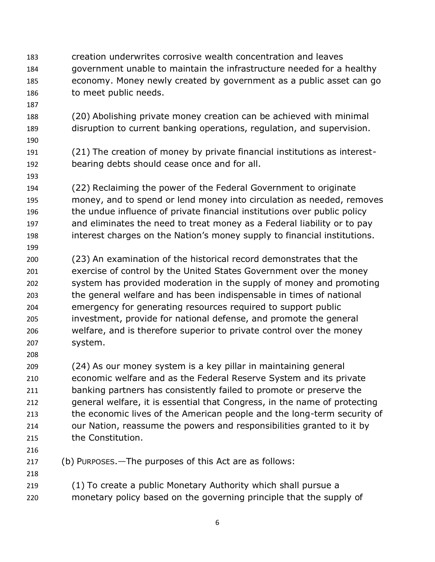- creation underwrites corrosive wealth concentration and leaves government unable to maintain the infrastructure needed for a healthy economy. Money newly created by government as a public asset can go to meet public needs.
- 

- (20) Abolishing private money creation can be achieved with minimal disruption to current banking operations, regulation, and supervision.
- (21) The creation of money by private financial institutions as interest-bearing debts should cease once and for all.
- (22) Reclaiming the power of the Federal Government to originate money, and to spend or lend money into circulation as needed, removes the undue influence of private financial institutions over public policy and eliminates the need to treat money as a Federal liability or to pay interest charges on the Nation's money supply to financial institutions.
- (23) An examination of the historical record demonstrates that the exercise of control by the United States Government over the money system has provided moderation in the supply of money and promoting the general welfare and has been indispensable in times of national emergency for generating resources required to support public investment, provide for national defense, and promote the general welfare, and is therefore superior to private control over the money system.
- 

 (24) As our money system is a key pillar in maintaining general economic welfare and as the Federal Reserve System and its private banking partners has consistently failed to promote or preserve the general welfare, it is essential that Congress, in the name of protecting the economic lives of the American people and the long-term security of our Nation, reassume the powers and responsibilities granted to it by the Constitution.

- 
- 

(b) PURPOSES.—The purposes of this Act are as follows:

 (1) To create a public Monetary Authority which shall pursue a monetary policy based on the governing principle that the supply of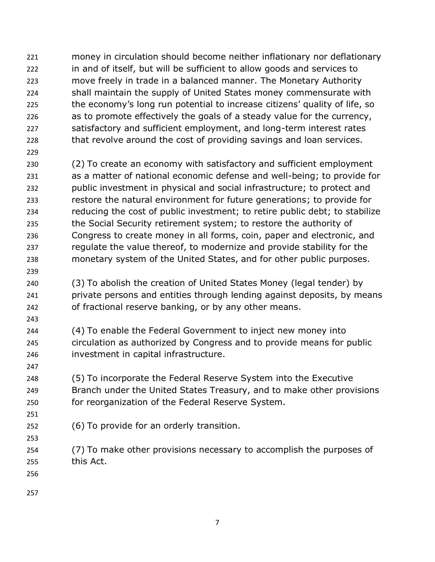- money in circulation should become neither inflationary nor deflationary in and of itself, but will be sufficient to allow goods and services to move freely in trade in a balanced manner. The Monetary Authority shall maintain the supply of United States money commensurate with the economy's long run potential to increase citizens' quality of life, so as to promote effectively the goals of a steady value for the currency, 227 satisfactory and sufficient employment, and long-term interest rates 228 that revolve around the cost of providing savings and loan services.
- 

 (2) To create an economy with satisfactory and sufficient employment as a matter of national economic defense and well-being; to provide for public investment in physical and social infrastructure; to protect and restore the natural environment for future generations; to provide for reducing the cost of public investment; to retire public debt; to stabilize the Social Security retirement system; to restore the authority of Congress to create money in all forms, coin, paper and electronic, and regulate the value thereof, to modernize and provide stability for the monetary system of the United States, and for other public purposes.

 (3) To abolish the creation of United States Money (legal tender) by private persons and entities through lending against deposits, by means of fractional reserve banking, or by any other means.

 (4) To enable the Federal Government to inject new money into circulation as authorized by Congress and to provide means for public investment in capital infrastructure.

 (5) To incorporate the Federal Reserve System into the Executive Branch under the United States Treasury, and to make other provisions for reorganization of the Federal Reserve System.

- (6) To provide for an orderly transition.
- 

 (7) To make other provisions necessary to accomplish the purposes of this Act.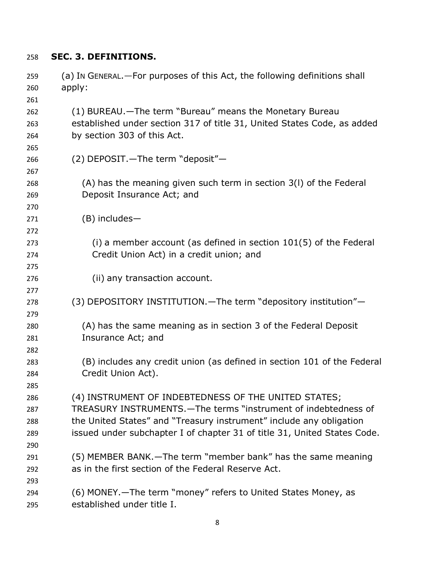#### **SEC. 3. DEFINITIONS.**

| 259 | (a) In GENERAL. - For purposes of this Act, the following definitions shall |
|-----|-----------------------------------------------------------------------------|
| 260 | apply:                                                                      |
| 261 |                                                                             |
| 262 | (1) BUREAU.—The term "Bureau" means the Monetary Bureau                     |
| 263 | established under section 317 of title 31, United States Code, as added     |
| 264 | by section 303 of this Act.                                                 |
| 265 |                                                                             |
| 266 | (2) DEPOSIT. - The term "deposit" -                                         |
| 267 |                                                                             |
| 268 | (A) has the meaning given such term in section 3(I) of the Federal          |
| 269 | Deposit Insurance Act; and                                                  |
| 270 |                                                                             |
| 271 | (B) includes-                                                               |
| 272 |                                                                             |
| 273 | (i) a member account (as defined in section $101(5)$ of the Federal         |
| 274 | Credit Union Act) in a credit union; and                                    |
| 275 |                                                                             |
| 276 | (ii) any transaction account.                                               |
| 277 |                                                                             |
| 278 | (3) DEPOSITORY INSTITUTION. - The term "depository institution" -           |
| 279 |                                                                             |
| 280 | (A) has the same meaning as in section 3 of the Federal Deposit             |
| 281 | Insurance Act; and                                                          |
| 282 |                                                                             |
| 283 | (B) includes any credit union (as defined in section 101 of the Federal     |
| 284 | Credit Union Act).                                                          |
| 285 |                                                                             |
| 286 | (4) INSTRUMENT OF INDEBTEDNESS OF THE UNITED STATES;                        |
| 287 | TREASURY INSTRUMENTS. - The terms "instrument of indebtedness of            |
| 288 | the United States" and "Treasury instrument" include any obligation         |
| 289 | issued under subchapter I of chapter 31 of title 31, United States Code.    |
| 290 |                                                                             |
| 291 | (5) MEMBER BANK.—The term "member bank" has the same meaning                |
| 292 | as in the first section of the Federal Reserve Act.                         |
| 293 |                                                                             |
| 294 | (6) MONEY.—The term "money" refers to United States Money, as               |
| 295 | established under title I.                                                  |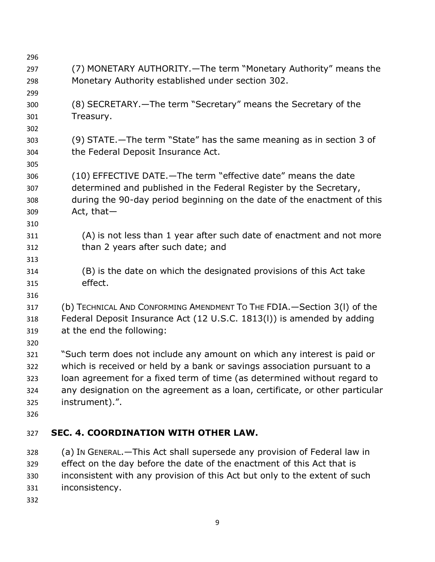| 296 |                                                                              |
|-----|------------------------------------------------------------------------------|
| 297 | (7) MONETARY AUTHORITY. - The term "Monetary Authority" means the            |
| 298 | Monetary Authority established under section 302.                            |
| 299 |                                                                              |
| 300 | (8) SECRETARY. - The term "Secretary" means the Secretary of the             |
| 301 | Treasury.                                                                    |
| 302 |                                                                              |
| 303 | (9) STATE.—The term "State" has the same meaning as in section 3 of          |
| 304 | the Federal Deposit Insurance Act.                                           |
| 305 |                                                                              |
| 306 | (10) EFFECTIVE DATE.—The term "effective date" means the date                |
| 307 | determined and published in the Federal Register by the Secretary,           |
| 308 | during the 90-day period beginning on the date of the enactment of this      |
| 309 | Act, that $-$                                                                |
| 310 |                                                                              |
| 311 | (A) is not less than 1 year after such date of enactment and not more        |
| 312 | than 2 years after such date; and                                            |
| 313 |                                                                              |
| 314 | (B) is the date on which the designated provisions of this Act take          |
| 315 | effect.                                                                      |
| 316 |                                                                              |
| 317 | (b) TECHNICAL AND CONFORMING AMENDMENT TO THE FDIA. - Section 3(I) of the    |
| 318 | Federal Deposit Insurance Act (12 U.S.C. 1813(I)) is amended by adding       |
| 319 | at the end the following:                                                    |
| 320 |                                                                              |
| 321 | "Such term does not include any amount on which any interest is paid or      |
| 322 | which is received or held by a bank or savings association pursuant to a     |
| 323 | loan agreement for a fixed term of time (as determined without regard to     |
| 324 | any designation on the agreement as a loan, certificate, or other particular |
| 325 | instrument).".                                                               |
| 326 |                                                                              |
| 327 | <b>SEC. 4. COORDINATION WITH OTHER LAW.</b>                                  |
| 328 | (a) In GENERAL. - This Act shall supersede any provision of Federal law in   |
| 329 | effect on the day before the date of the enactment of this Act that is       |
| 330 | inconsistent with any provision of this Act but only to the extent of such   |
| 331 | inconsistency.                                                               |
|     |                                                                              |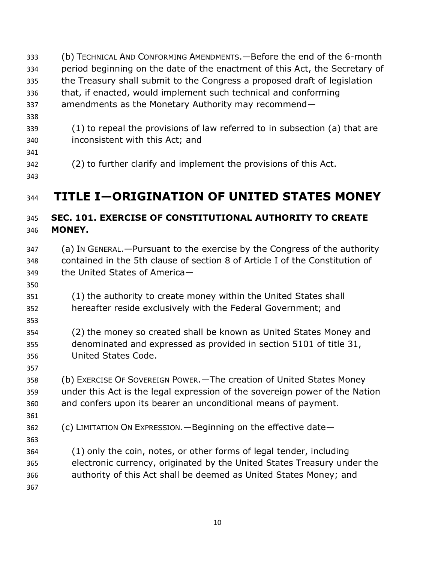(b) TECHNICAL AND CONFORMING AMENDMENTS.—Before the end of the 6-month period beginning on the date of the enactment of this Act, the Secretary of the Treasury shall submit to the Congress a proposed draft of legislation that, if enacted, would implement such technical and conforming amendments as the Monetary Authority may recommend— (1) to repeal the provisions of law referred to in subsection (a) that are inconsistent with this Act; and (2) to further clarify and implement the provisions of this Act. **TITLE I—ORIGINATION OF UNITED STATES MONEY** 

## **SEC. 101. EXERCISE OF CONSTITUTIONAL AUTHORITY TO CREATE MONEY.**

- (a) IN GENERAL.—Pursuant to the exercise by the Congress of the authority contained in the 5th clause of section 8 of Article I of the Constitution of the United States of America—
- 
- (1) the authority to create money within the United States shall hereafter reside exclusively with the Federal Government; and
- 
- (2) the money so created shall be known as United States Money and denominated and expressed as provided in section 5101 of title 31, United States Code.
- (b) EXERCISE OF SOVEREIGN POWER.—The creation of United States Money under this Act is the legal expression of the sovereign power of the Nation and confers upon its bearer an unconditional means of payment.
- 
- (c) LIMITATION ON EXPRESSION.—Beginning on the effective date—
- (1) only the coin, notes, or other forms of legal tender, including electronic currency, originated by the United States Treasury under the authority of this Act shall be deemed as United States Money; and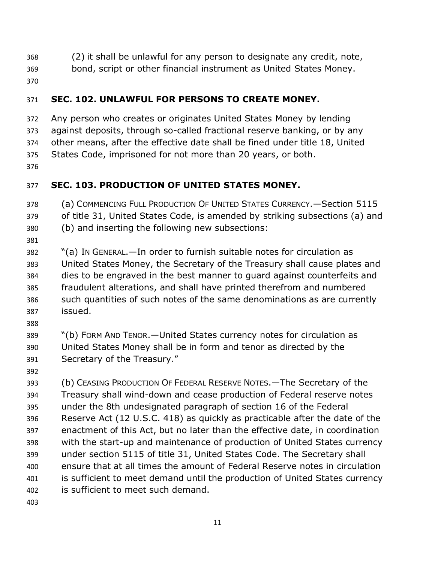- (2) it shall be unlawful for any person to designate any credit, note,
- bond, script or other financial instrument as United States Money.
- 

## **SEC. 102. UNLAWFUL FOR PERSONS TO CREATE MONEY.**

 Any person who creates or originates United States Money by lending against deposits, through so-called fractional reserve banking, or by any other means, after the effective date shall be fined under title 18, United States Code, imprisoned for not more than 20 years, or both. 

## **SEC. 103. PRODUCTION OF UNITED STATES MONEY.**

 (a) COMMENCING FULL PRODUCTION OF UNITED STATES CURRENCY.—Section 5115 of title 31, United States Code, is amended by striking subsections (a) and (b) and inserting the following new subsections:

 "(a) IN GENERAL.—In order to furnish suitable notes for circulation as United States Money, the Secretary of the Treasury shall cause plates and dies to be engraved in the best manner to guard against counterfeits and fraudulent alterations, and shall have printed therefrom and numbered such quantities of such notes of the same denominations as are currently issued.

 "(b) FORM AND TENOR.—United States currency notes for circulation as United States Money shall be in form and tenor as directed by the Secretary of the Treasury."

 (b) CEASING PRODUCTION OF FEDERAL RESERVE NOTES.—The Secretary of the Treasury shall wind-down and cease production of Federal reserve notes under the 8th undesignated paragraph of section 16 of the Federal Reserve Act (12 U.S.C. 418) as quickly as practicable after the date of the enactment of this Act, but no later than the effective date, in coordination with the start-up and maintenance of production of United States currency under section 5115 of title 31, United States Code. The Secretary shall ensure that at all times the amount of Federal Reserve notes in circulation is sufficient to meet demand until the production of United States currency is sufficient to meet such demand.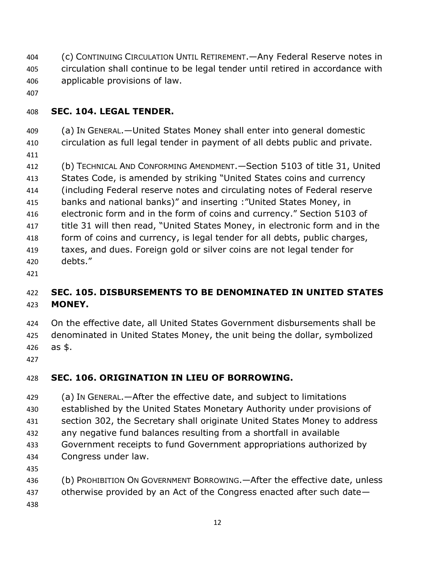- (c) CONTINUING CIRCULATION UNTIL RETIREMENT.—Any Federal Reserve notes in circulation shall continue to be legal tender until retired in accordance with applicable provisions of law.
- 

#### **SEC. 104. LEGAL TENDER.**

(a) IN GENERAL.—United States Money shall enter into general domestic

circulation as full legal tender in payment of all debts public and private.

 (b) TECHNICAL AND CONFORMING AMENDMENT.—Section 5103 of title 31, United States Code, is amended by striking "United States coins and currency (including Federal reserve notes and circulating notes of Federal reserve banks and national banks)" and inserting :"United States Money, in electronic form and in the form of coins and currency." Section 5103 of title 31 will then read, "United States Money, in electronic form and in the form of coins and currency, is legal tender for all debts, public charges,

 taxes, and dues. Foreign gold or silver coins are not legal tender for debts."

## **SEC. 105. DISBURSEMENTS TO BE DENOMINATED IN UNITED STATES MONEY.**

 On the effective date, all United States Government disbursements shall be denominated in United States Money, the unit being the dollar, symbolized as \$.

## **SEC. 106. ORIGINATION IN LIEU OF BORROWING.**

- (a) IN GENERAL.—After the effective date, and subject to limitations established by the United States Monetary Authority under provisions of section 302, the Secretary shall originate United States Money to address any negative fund balances resulting from a shortfall in available Government receipts to fund Government appropriations authorized by Congress under law. (b) PROHIBITION ON GOVERNMENT BORROWING.—After the effective date, unless
- 437 otherwise provided by an Act of the Congress enacted after such date-
-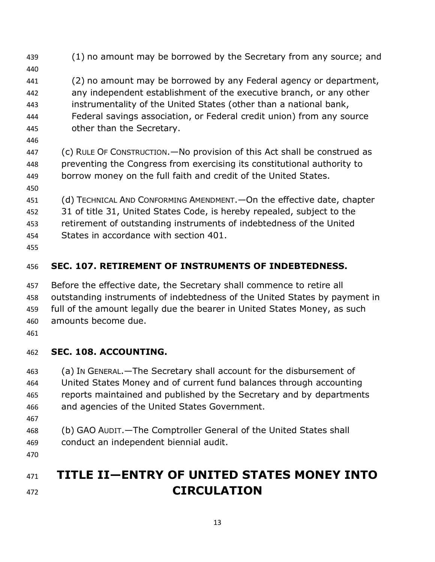- 439 (1) no amount may be borrowed by the Secretary from any source; and (2) no amount may be borrowed by any Federal agency or department, any independent establishment of the executive branch, or any other instrumentality of the United States (other than a national bank, Federal savings association, or Federal credit union) from any source other than the Secretary. (c) RULE OF CONSTRUCTION.—No provision of this Act shall be construed as preventing the Congress from exercising its constitutional authority to borrow money on the full faith and credit of the United States. (d) TECHNICAL AND CONFORMING AMENDMENT.—On the effective date, chapter 31 of title 31, United States Code, is hereby repealed, subject to the retirement of outstanding instruments of indebtedness of the United States in accordance with section 401.
- **SEC. 107. RETIREMENT OF INSTRUMENTS OF INDEBTEDNESS.**
- Before the effective date, the Secretary shall commence to retire all outstanding instruments of indebtedness of the United States by payment in full of the amount legally due the bearer in United States Money, as such amounts become due.
- 

## **SEC. 108. ACCOUNTING.**

 (a) IN GENERAL.—The Secretary shall account for the disbursement of United States Money and of current fund balances through accounting reports maintained and published by the Secretary and by departments and agencies of the United States Government.

- 
- (b) GAO AUDIT.—The Comptroller General of the United States shall conduct an independent biennial audit.
- 

# **TITLE II—ENTRY OF UNITED STATES MONEY INTO CIRCULATION**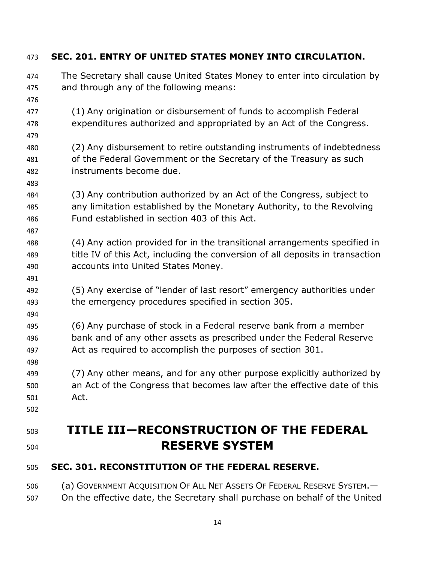| 473        | SEC. 201. ENTRY OF UNITED STATES MONEY INTO CIRCULATION.                                                                                        |
|------------|-------------------------------------------------------------------------------------------------------------------------------------------------|
| 474<br>475 | The Secretary shall cause United States Money to enter into circulation by<br>and through any of the following means:                           |
| 476        |                                                                                                                                                 |
| 477        | (1) Any origination or disbursement of funds to accomplish Federal                                                                              |
| 478<br>479 | expenditures authorized and appropriated by an Act of the Congress.                                                                             |
| 480        | (2) Any disbursement to retire outstanding instruments of indebtedness                                                                          |
| 481        | of the Federal Government or the Secretary of the Treasury as such                                                                              |
| 482        | instruments become due.                                                                                                                         |
| 483        |                                                                                                                                                 |
| 484<br>485 | (3) Any contribution authorized by an Act of the Congress, subject to<br>any limitation established by the Monetary Authority, to the Revolving |
| 486        | Fund established in section 403 of this Act.                                                                                                    |
| 487        |                                                                                                                                                 |
| 488        | (4) Any action provided for in the transitional arrangements specified in                                                                       |
| 489        | title IV of this Act, including the conversion of all deposits in transaction                                                                   |
| 490        | accounts into United States Money.                                                                                                              |
| 491        |                                                                                                                                                 |
| 492<br>493 | (5) Any exercise of "lender of last resort" emergency authorities under<br>the emergency procedures specified in section 305.                   |
| 494        |                                                                                                                                                 |
| 495        | (6) Any purchase of stock in a Federal reserve bank from a member                                                                               |
| 496        | bank and of any other assets as prescribed under the Federal Reserve                                                                            |
| 497        | Act as required to accomplish the purposes of section 301.                                                                                      |
| 498        |                                                                                                                                                 |
| 499        | (7) Any other means, and for any other purpose explicitly authorized by                                                                         |
| 500        | an Act of the Congress that becomes law after the effective date of this                                                                        |
| 501        | Act.                                                                                                                                            |
| 502        |                                                                                                                                                 |
| 503        | TITLE III-RECONSTRUCTION OF THE FEDERAL                                                                                                         |
| 504        | <b>RESERVE SYSTEM</b>                                                                                                                           |
| 505        | SEC. 301. RECONSTITUTION OF THE FEDERAL RESERVE.                                                                                                |
| 506        | (a) GOVERNMENT ACQUISITION OF ALL NET ASSETS OF FEDERAL RESERVE SYSTEM. -                                                                       |
| 507        | On the effective date, the Secretary shall purchase on behalf of the United                                                                     |

#### **SEC. 201. ENTRY OF UNITED STATES MONEY INTO CIRCULATION.**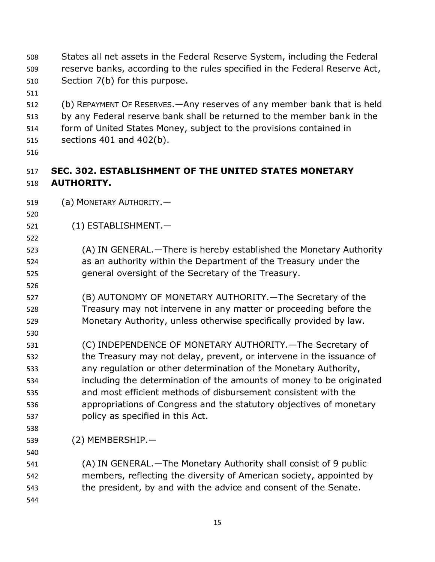- States all net assets in the Federal Reserve System, including the Federal reserve banks, according to the rules specified in the Federal Reserve Act, Section 7(b) for this purpose.
- 
- (b) REPAYMENT OF RESERVES.—Any reserves of any member bank that is held by any Federal reserve bank shall be returned to the member bank in the
- form of United States Money, subject to the provisions contained in sections 401 and 402(b).
- 

## **SEC. 302. ESTABLISHMENT OF THE UNITED STATES MONETARY AUTHORITY.**

- (a) MONETARY AUTHORITY.—
- 
- (1) ESTABLISHMENT.—
- 

- (A) IN GENERAL.—There is hereby established the Monetary Authority as an authority within the Department of the Treasury under the general oversight of the Secretary of the Treasury.
- (B) AUTONOMY OF MONETARY AUTHORITY.—The Secretary of the Treasury may not intervene in any matter or proceeding before the Monetary Authority, unless otherwise specifically provided by law.
- (C) INDEPENDENCE OF MONETARY AUTHORITY.—The Secretary of the Treasury may not delay, prevent, or intervene in the issuance of any regulation or other determination of the Monetary Authority, including the determination of the amounts of money to be originated and most efficient methods of disbursement consistent with the appropriations of Congress and the statutory objectives of monetary policy as specified in this Act.
- 
- (2) MEMBERSHIP.—
- 
- (A) IN GENERAL.—The Monetary Authority shall consist of 9 public members, reflecting the diversity of American society, appointed by the president, by and with the advice and consent of the Senate.
-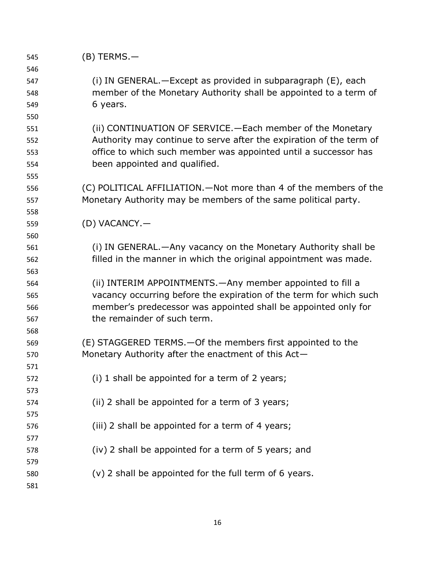| 545 | $(B)$ TERMS. $-$                                                    |
|-----|---------------------------------------------------------------------|
| 546 |                                                                     |
| 547 | (i) IN GENERAL. - Except as provided in subparagraph (E), each      |
| 548 | member of the Monetary Authority shall be appointed to a term of    |
| 549 | 6 years.                                                            |
| 550 |                                                                     |
| 551 | (ii) CONTINUATION OF SERVICE. - Each member of the Monetary         |
| 552 | Authority may continue to serve after the expiration of the term of |
| 553 | office to which such member was appointed until a successor has     |
| 554 | been appointed and qualified.                                       |
| 555 |                                                                     |
| 556 | (C) POLITICAL AFFILIATION. - Not more than 4 of the members of the  |
| 557 | Monetary Authority may be members of the same political party.      |
| 558 |                                                                     |
| 559 | (D) VACANCY.-                                                       |
| 560 |                                                                     |
| 561 | (i) IN GENERAL.—Any vacancy on the Monetary Authority shall be      |
| 562 | filled in the manner in which the original appointment was made.    |
| 563 |                                                                     |
| 564 | (ii) INTERIM APPOINTMENTS. - Any member appointed to fill a         |
| 565 | vacancy occurring before the expiration of the term for which such  |
| 566 | member's predecessor was appointed shall be appointed only for      |
| 567 | the remainder of such term.                                         |
| 568 |                                                                     |
| 569 | (E) STAGGERED TERMS. - Of the members first appointed to the        |
| 570 | Monetary Authority after the enactment of this Act-                 |
| 571 |                                                                     |
| 572 | (i) 1 shall be appointed for a term of 2 years;                     |
| 573 |                                                                     |
| 574 | (ii) 2 shall be appointed for a term of 3 years;                    |
| 575 |                                                                     |
| 576 | (iii) 2 shall be appointed for a term of 4 years;                   |
| 577 |                                                                     |
| 578 | (iv) 2 shall be appointed for a term of 5 years; and                |
| 579 |                                                                     |
| 580 | (v) 2 shall be appointed for the full term of 6 years.              |
| 581 |                                                                     |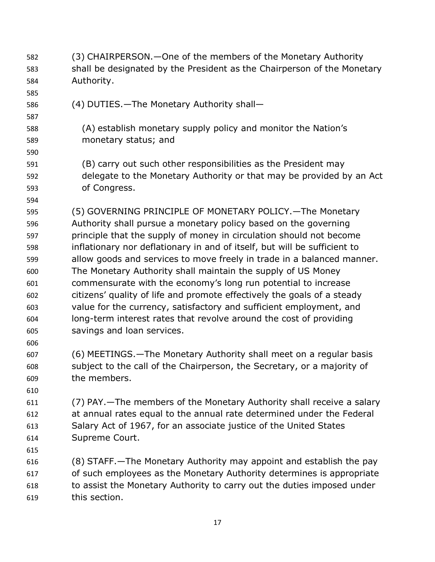(3) CHAIRPERSON.—One of the members of the Monetary Authority shall be designated by the President as the Chairperson of the Monetary Authority. (4) DUTIES.—The Monetary Authority shall— (A) establish monetary supply policy and monitor the Nation's monetary status; and (B) carry out such other responsibilities as the President may delegate to the Monetary Authority or that may be provided by an Act of Congress. (5) GOVERNING PRINCIPLE OF MONETARY POLICY.—The Monetary Authority shall pursue a monetary policy based on the governing principle that the supply of money in circulation should not become inflationary nor deflationary in and of itself, but will be sufficient to allow goods and services to move freely in trade in a balanced manner. The Monetary Authority shall maintain the supply of US Money commensurate with the economy's long run potential to increase citizens' quality of life and promote effectively the goals of a steady value for the currency, satisfactory and sufficient employment, and long-term interest rates that revolve around the cost of providing savings and loan services. (6) MEETINGS.—The Monetary Authority shall meet on a regular basis subject to the call of the Chairperson, the Secretary, or a majority of the members. (7) PAY.—The members of the Monetary Authority shall receive a salary at annual rates equal to the annual rate determined under the Federal Salary Act of 1967, for an associate justice of the United States Supreme Court. (8) STAFF.—The Monetary Authority may appoint and establish the pay of such employees as the Monetary Authority determines is appropriate to assist the Monetary Authority to carry out the duties imposed under this section.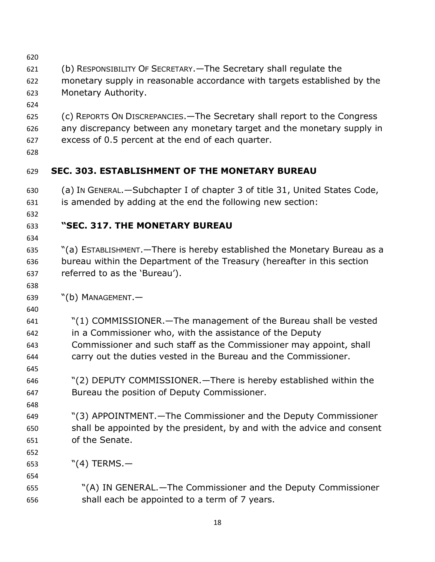| 620        |                                                                            |
|------------|----------------------------------------------------------------------------|
| 621        | (b) RESPONSIBILITY OF SECRETARY. - The Secretary shall regulate the        |
| 622        | monetary supply in reasonable accordance with targets established by the   |
| 623        | Monetary Authority.                                                        |
| 624        |                                                                            |
| 625        | (c) REPORTS ON DISCREPANCIES. - The Secretary shall report to the Congress |
| 626        | any discrepancy between any monetary target and the monetary supply in     |
| 627        | excess of 0.5 percent at the end of each quarter.                          |
| 628        |                                                                            |
| 629        | <b>SEC. 303. ESTABLISHMENT OF THE MONETARY BUREAU</b>                      |
| 630        | (a) In GENERAL.—Subchapter I of chapter 3 of title 31, United States Code, |
| 631        | is amended by adding at the end the following new section:                 |
| 632        |                                                                            |
| 633        | "SEC. 317. THE MONETARY BUREAU                                             |
| 634        |                                                                            |
| 635        | "(a) ESTABLISHMENT. - There is hereby established the Monetary Bureau as a |
| 636        | bureau within the Department of the Treasury (hereafter in this section    |
| 637        | referred to as the 'Bureau').                                              |
| 638        |                                                                            |
| 639        | $"$ (b) MANAGEMENT. $-$                                                    |
| 640        |                                                                            |
| 641        | "(1) COMMISSIONER. - The management of the Bureau shall be vested          |
| 642        | in a Commissioner who, with the assistance of the Deputy                   |
| 643        | Commissioner and such staff as the Commissioner may appoint, shall         |
| 644        | carry out the duties vested in the Bureau and the Commissioner.            |
| 645<br>646 | "(2) DEPUTY COMMISSIONER. - There is hereby established within the         |
| 647        | Bureau the position of Deputy Commissioner.                                |
| 648        |                                                                            |
| 649        | "(3) APPOINTMENT. - The Commissioner and the Deputy Commissioner           |
| 650        | shall be appointed by the president, by and with the advice and consent    |
| 651        | of the Senate.                                                             |
| 652        |                                                                            |
| 653        | $"$ (4) TERMS. $-$                                                         |
| 654        |                                                                            |
| 655        | "(A) IN GENERAL.—The Commissioner and the Deputy Commissioner              |
| 656        | shall each be appointed to a term of 7 years.                              |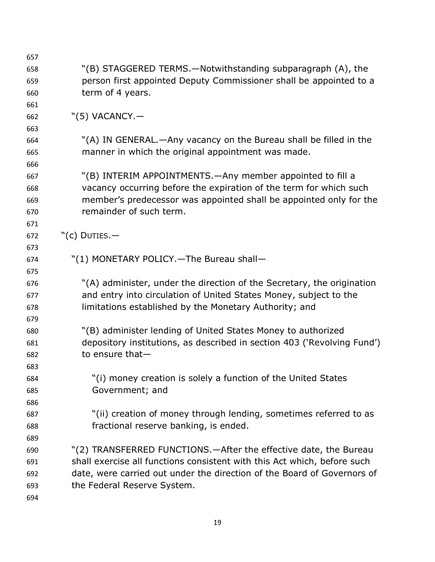| 657 |                                                                          |
|-----|--------------------------------------------------------------------------|
| 658 | "(B) STAGGERED TERMS.—Notwithstanding subparagraph (A), the              |
| 659 | person first appointed Deputy Commissioner shall be appointed to a       |
| 660 | term of 4 years.                                                         |
| 661 |                                                                          |
| 662 | $"(5)$ VACANCY. $-$                                                      |
| 663 |                                                                          |
| 664 | "(A) IN GENERAL.—Any vacancy on the Bureau shall be filled in the        |
| 665 | manner in which the original appointment was made.                       |
| 666 |                                                                          |
| 667 | "(B) INTERIM APPOINTMENTS. - Any member appointed to fill a              |
| 668 | vacancy occurring before the expiration of the term for which such       |
| 669 | member's predecessor was appointed shall be appointed only for the       |
| 670 | remainder of such term.                                                  |
| 671 |                                                                          |
| 672 | " $(c)$ Duties. $-$                                                      |
| 673 |                                                                          |
| 674 | "(1) MONETARY POLICY. - The Bureau shall -                               |
| 675 |                                                                          |
| 676 | "(A) administer, under the direction of the Secretary, the origination   |
| 677 | and entry into circulation of United States Money, subject to the        |
| 678 | limitations established by the Monetary Authority; and                   |
| 679 |                                                                          |
| 680 | "(B) administer lending of United States Money to authorized             |
| 681 | depository institutions, as described in section 403 ('Revolving Fund')  |
| 682 | to ensure that-                                                          |
| 683 |                                                                          |
| 684 | "(i) money creation is solely a function of the United States            |
| 685 | Government; and                                                          |
| 686 |                                                                          |
| 687 | "(ii) creation of money through lending, sometimes referred to as        |
| 688 | fractional reserve banking, is ended.                                    |
| 689 |                                                                          |
| 690 | "(2) TRANSFERRED FUNCTIONS.—After the effective date, the Bureau         |
| 691 | shall exercise all functions consistent with this Act which, before such |
| 692 | date, were carried out under the direction of the Board of Governors of  |
| 693 | the Federal Reserve System.                                              |
| 694 |                                                                          |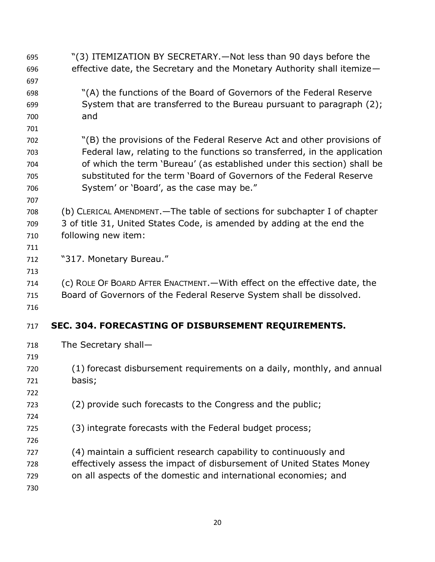"(3) ITEMIZATION BY SECRETARY.—Not less than 90 days before the effective date, the Secretary and the Monetary Authority shall itemize— "(A) the functions of the Board of Governors of the Federal Reserve System that are transferred to the Bureau pursuant to paragraph (2); and "(B) the provisions of the Federal Reserve Act and other provisions of Federal law, relating to the functions so transferred, in the application of which the term 'Bureau' (as established under this section) shall be substituted for the term 'Board of Governors of the Federal Reserve System' or 'Board', as the case may be." (b) CLERICAL AMENDMENT.—The table of sections for subchapter I of chapter 3 of title 31, United States Code, is amended by adding at the end the following new item: "317. Monetary Bureau." (c) ROLE OF BOARD AFTER ENACTMENT.—With effect on the effective date, the Board of Governors of the Federal Reserve System shall be dissolved. **SEC. 304. FORECASTING OF DISBURSEMENT REQUIREMENTS.**  The Secretary shall— (1) forecast disbursement requirements on a daily, monthly, and annual basis; (2) provide such forecasts to the Congress and the public; (3) integrate forecasts with the Federal budget process; (4) maintain a sufficient research capability to continuously and effectively assess the impact of disbursement of United States Money on all aspects of the domestic and international economies; and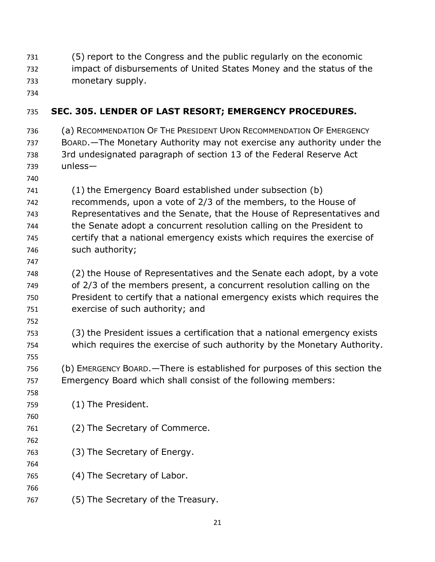- (5) report to the Congress and the public regularly on the economic
- impact of disbursements of United States Money and the status of the
- monetary supply.
- 

## **SEC. 305. LENDER OF LAST RESORT; EMERGENCY PROCEDURES.**

- (a) RECOMMENDATION OF THE PRESIDENT UPON RECOMMENDATION OF EMERGENCY BOARD.—The Monetary Authority may not exercise any authority under the 3rd undesignated paragraph of section 13 of the Federal Reserve Act unless—
- 

(1) the Emergency Board established under subsection (b)

- recommends, upon a vote of 2/3 of the members, to the House of Representatives and the Senate, that the House of Representatives and the Senate adopt a concurrent resolution calling on the President to certify that a national emergency exists which requires the exercise of such authority;
- 

 (2) the House of Representatives and the Senate each adopt, by a vote of 2/3 of the members present, a concurrent resolution calling on the President to certify that a national emergency exists which requires the exercise of such authority; and

 (3) the President issues a certification that a national emergency exists which requires the exercise of such authority by the Monetary Authority.

 (b) EMERGENCY BOARD.—There is established for purposes of this section the Emergency Board which shall consist of the following members:

- (1) The President.
- (2) The Secretary of Commerce.
- (3) The Secretary of Energy.
- (4) The Secretary of Labor.
- 
- (5) The Secretary of the Treasury.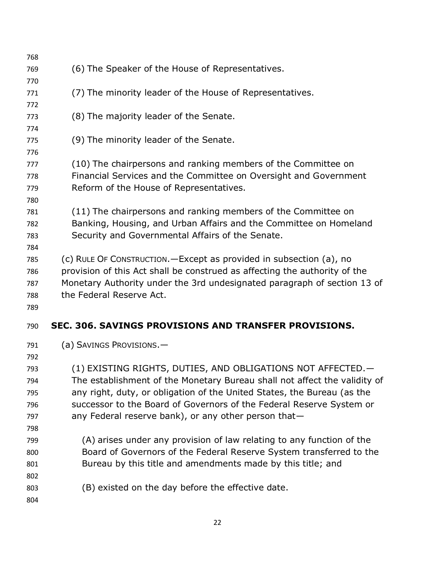| 768        |                                                                            |
|------------|----------------------------------------------------------------------------|
| 769        | (6) The Speaker of the House of Representatives.                           |
| 770        |                                                                            |
| 771        | (7) The minority leader of the House of Representatives.                   |
| 772        |                                                                            |
| 773        | (8) The majority leader of the Senate.                                     |
| 774        |                                                                            |
| 775        | (9) The minority leader of the Senate.                                     |
| 776<br>777 | (10) The chairpersons and ranking members of the Committee on              |
| 778        | Financial Services and the Committee on Oversight and Government           |
| 779        | Reform of the House of Representatives.                                    |
| 780        |                                                                            |
| 781        | (11) The chairpersons and ranking members of the Committee on              |
| 782        | Banking, Housing, and Urban Affairs and the Committee on Homeland          |
| 783        | Security and Governmental Affairs of the Senate.                           |
| 784        |                                                                            |
| 785        | (c) RULE OF CONSTRUCTION. - Except as provided in subsection (a), no       |
| 786        | provision of this Act shall be construed as affecting the authority of the |
| 787        | Monetary Authority under the 3rd undesignated paragraph of section 13 of   |
| 788        | the Federal Reserve Act.                                                   |
| 789        |                                                                            |
| 790        | SEC. 306. SAVINGS PROVISIONS AND TRANSFER PROVISIONS.                      |
| 791        | (a) SAVINGS PROVISIONS.-                                                   |
| 792        |                                                                            |
| 793        | (1) EXISTING RIGHTS, DUTIES, AND OBLIGATIONS NOT AFFECTED.—                |
| 794        | The establishment of the Monetary Bureau shall not affect the validity of  |
| 795        | any right, duty, or obligation of the United States, the Bureau (as the    |
| 796        | successor to the Board of Governors of the Federal Reserve System or       |
| 797        | any Federal reserve bank), or any other person that-                       |
| 798        |                                                                            |
| 799        | (A) arises under any provision of law relating to any function of the      |
| 800        | Board of Governors of the Federal Reserve System transferred to the        |
| 801        | Bureau by this title and amendments made by this title; and                |
| 802        |                                                                            |
| 803        | (B) existed on the day before the effective date.                          |
| 804        |                                                                            |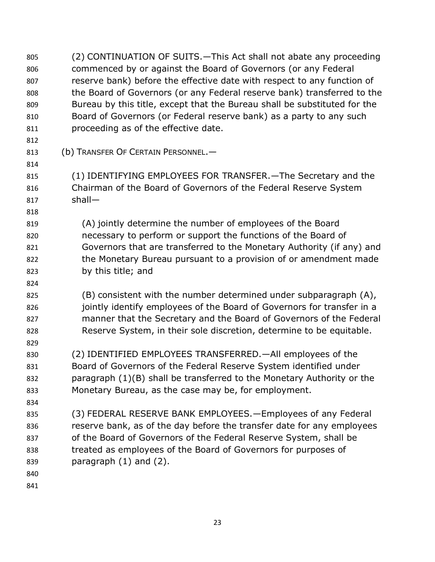(2) CONTINUATION OF SUITS.—This Act shall not abate any proceeding commenced by or against the Board of Governors (or any Federal reserve bank) before the effective date with respect to any function of the Board of Governors (or any Federal reserve bank) transferred to the Bureau by this title, except that the Bureau shall be substituted for the Board of Governors (or Federal reserve bank) as a party to any such proceeding as of the effective date. (b) TRANSFER OF CERTAIN PERSONNEL.— (1) IDENTIFYING EMPLOYEES FOR TRANSFER.—The Secretary and the Chairman of the Board of Governors of the Federal Reserve System shall— (A) jointly determine the number of employees of the Board necessary to perform or support the functions of the Board of Governors that are transferred to the Monetary Authority (if any) and the Monetary Bureau pursuant to a provision of or amendment made by this title; and (B) consistent with the number determined under subparagraph (A), 826 iointly identify employees of the Board of Governors for transfer in a manner that the Secretary and the Board of Governors of the Federal Reserve System, in their sole discretion, determine to be equitable. (2) IDENTIFIED EMPLOYEES TRANSFERRED.—All employees of the Board of Governors of the Federal Reserve System identified under paragraph (1)(B) shall be transferred to the Monetary Authority or the Monetary Bureau, as the case may be, for employment. (3) FEDERAL RESERVE BANK EMPLOYEES.—Employees of any Federal reserve bank, as of the day before the transfer date for any employees of the Board of Governors of the Federal Reserve System, shall be treated as employees of the Board of Governors for purposes of paragraph (1) and (2).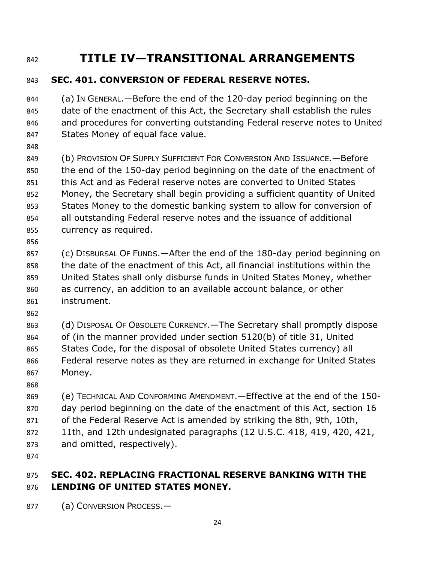## **TITLE IV—TRANSITIONAL ARRANGEMENTS**

## **SEC. 401. CONVERSION OF FEDERAL RESERVE NOTES.**

 (a) IN GENERAL.—Before the end of the 120-day period beginning on the date of the enactment of this Act, the Secretary shall establish the rules and procedures for converting outstanding Federal reserve notes to United States Money of equal face value.

 (b) PROVISION OF SUPPLY SUFFICIENT FOR CONVERSION AND ISSUANCE.—Before the end of the 150-day period beginning on the date of the enactment of this Act and as Federal reserve notes are converted to United States Money, the Secretary shall begin providing a sufficient quantity of United States Money to the domestic banking system to allow for conversion of all outstanding Federal reserve notes and the issuance of additional currency as required.

 (c) DISBURSAL OF FUNDS.—After the end of the 180-day period beginning on the date of the enactment of this Act, all financial institutions within the United States shall only disburse funds in United States Money, whether as currency, an addition to an available account balance, or other instrument.

 (d) DISPOSAL OF OBSOLETE CURRENCY.—The Secretary shall promptly dispose of (in the manner provided under section 5120(b) of title 31, United States Code, for the disposal of obsolete United States currency) all Federal reserve notes as they are returned in exchange for United States Money.

 (e) TECHNICAL AND CONFORMING AMENDMENT.—Effective at the end of the 150- day period beginning on the date of the enactment of this Act, section 16 of the Federal Reserve Act is amended by striking the 8th, 9th, 10th, 11th, and 12th undesignated paragraphs (12 U.S.C. 418, 419, 420, 421,

- and omitted, respectively).
- 

## **SEC. 402. REPLACING FRACTIONAL RESERVE BANKING WITH THE LENDING OF UNITED STATES MONEY.**

(a) CONVERSION PROCESS.—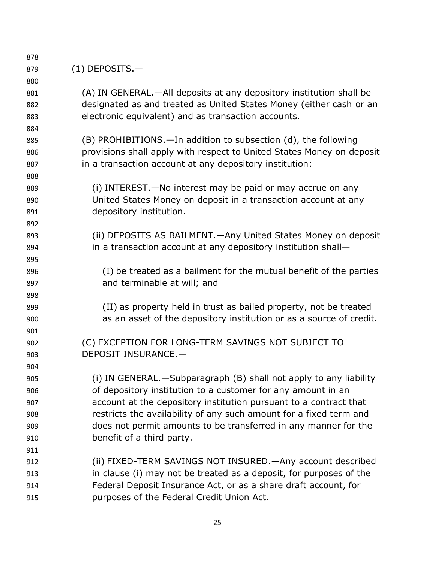| 878 |                                                                       |
|-----|-----------------------------------------------------------------------|
| 879 | $(1)$ DEPOSITS. $-$                                                   |
| 880 |                                                                       |
| 881 | (A) IN GENERAL.—All deposits at any depository institution shall be   |
| 882 | designated as and treated as United States Money (either cash or an   |
| 883 | electronic equivalent) and as transaction accounts.                   |
| 884 |                                                                       |
| 885 | (B) PROHIBITIONS.—In addition to subsection (d), the following        |
| 886 | provisions shall apply with respect to United States Money on deposit |
| 887 | in a transaction account at any depository institution:               |
| 888 |                                                                       |
| 889 | (i) INTEREST. - No interest may be paid or may accrue on any          |
| 890 | United States Money on deposit in a transaction account at any        |
| 891 | depository institution.                                               |
| 892 |                                                                       |
| 893 | (ii) DEPOSITS AS BAILMENT. - Any United States Money on deposit       |
| 894 | in a transaction account at any depository institution shall-         |
| 895 |                                                                       |
| 896 | (I) be treated as a bailment for the mutual benefit of the parties    |
| 897 | and terminable at will; and                                           |
| 898 |                                                                       |
| 899 | (II) as property held in trust as bailed property, not be treated     |
| 900 | as an asset of the depository institution or as a source of credit.   |
| 901 |                                                                       |
| 902 | (C) EXCEPTION FOR LONG-TERM SAVINGS NOT SUBJECT TO                    |
| 903 | DEPOSIT INSURANCE.-                                                   |
| 904 |                                                                       |
| 905 | (i) IN GENERAL. - Subparagraph (B) shall not apply to any liability   |
| 906 | of depository institution to a customer for any amount in an          |
| 907 | account at the depository institution pursuant to a contract that     |
| 908 | restricts the availability of any such amount for a fixed term and    |
| 909 | does not permit amounts to be transferred in any manner for the       |
| 910 | benefit of a third party.                                             |
| 911 |                                                                       |
| 912 | (ii) FIXED-TERM SAVINGS NOT INSURED. — Any account described          |
| 913 | in clause (i) may not be treated as a deposit, for purposes of the    |
| 914 | Federal Deposit Insurance Act, or as a share draft account, for       |
| 915 | purposes of the Federal Credit Union Act.                             |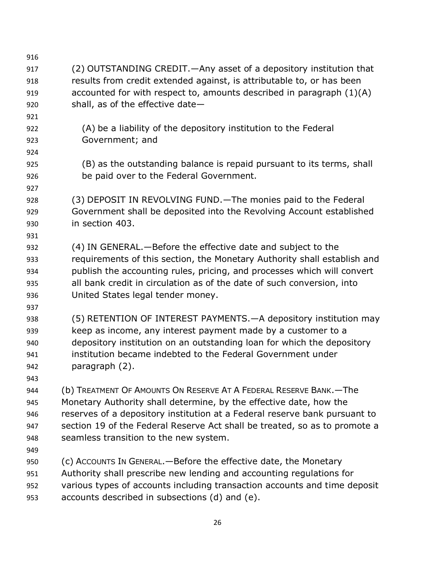| 916 |                                                                            |
|-----|----------------------------------------------------------------------------|
| 917 | (2) OUTSTANDING CREDIT. — Any asset of a depository institution that       |
| 918 | results from credit extended against, is attributable to, or has been      |
| 919 | accounted for with respect to, amounts described in paragraph $(1)(A)$     |
| 920 | shall, as of the effective date-                                           |
| 921 |                                                                            |
| 922 | (A) be a liability of the depository institution to the Federal            |
| 923 | Government; and                                                            |
| 924 |                                                                            |
| 925 | (B) as the outstanding balance is repaid pursuant to its terms, shall      |
| 926 | be paid over to the Federal Government.                                    |
| 927 |                                                                            |
| 928 | (3) DEPOSIT IN REVOLVING FUND. - The monies paid to the Federal            |
| 929 | Government shall be deposited into the Revolving Account established       |
| 930 | in section 403.                                                            |
| 931 |                                                                            |
| 932 | (4) IN GENERAL.—Before the effective date and subject to the               |
| 933 | requirements of this section, the Monetary Authority shall establish and   |
| 934 | publish the accounting rules, pricing, and processes which will convert    |
| 935 | all bank credit in circulation as of the date of such conversion, into     |
| 936 | United States legal tender money.                                          |
| 937 |                                                                            |
| 938 | (5) RETENTION OF INTEREST PAYMENTS. - A depository institution may         |
| 939 | keep as income, any interest payment made by a customer to a               |
| 940 | depository institution on an outstanding loan for which the depository     |
| 941 | institution became indebted to the Federal Government under                |
| 942 | paragraph (2).                                                             |
| 943 |                                                                            |
| 944 | (b) TREATMENT OF AMOUNTS ON RESERVE AT A FEDERAL RESERVE BANK. - The       |
| 945 | Monetary Authority shall determine, by the effective date, how the         |
| 946 | reserves of a depository institution at a Federal reserve bank pursuant to |
| 947 | section 19 of the Federal Reserve Act shall be treated, so as to promote a |
| 948 | seamless transition to the new system.                                     |
| 949 |                                                                            |
| 950 | (c) ACCOUNTS IN GENERAL. - Before the effective date, the Monetary         |
| 951 | Authority shall prescribe new lending and accounting regulations for       |
| 952 | various types of accounts including transaction accounts and time deposit  |
| 953 | accounts described in subsections (d) and (e).                             |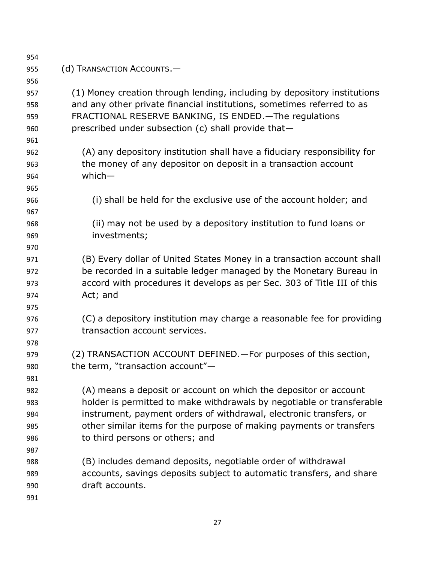| 954 |                                                                          |
|-----|--------------------------------------------------------------------------|
| 955 | (d) TRANSACTION ACCOUNTS.-                                               |
| 956 |                                                                          |
| 957 | (1) Money creation through lending, including by depository institutions |
| 958 | and any other private financial institutions, sometimes referred to as   |
| 959 | FRACTIONAL RESERVE BANKING, IS ENDED. - The regulations                  |
| 960 | prescribed under subsection (c) shall provide that-                      |
| 961 |                                                                          |
| 962 | (A) any depository institution shall have a fiduciary responsibility for |
| 963 | the money of any depositor on deposit in a transaction account           |
| 964 | $which -$                                                                |
| 965 |                                                                          |
| 966 | (i) shall be held for the exclusive use of the account holder; and       |
| 967 |                                                                          |
| 968 | (ii) may not be used by a depository institution to fund loans or        |
| 969 | investments;                                                             |
| 970 |                                                                          |
| 971 | (B) Every dollar of United States Money in a transaction account shall   |
| 972 | be recorded in a suitable ledger managed by the Monetary Bureau in       |
| 973 | accord with procedures it develops as per Sec. 303 of Title III of this  |
| 974 | Act; and                                                                 |
| 975 |                                                                          |
| 976 | (C) a depository institution may charge a reasonable fee for providing   |
| 977 | transaction account services.                                            |
| 978 |                                                                          |
| 979 | (2) TRANSACTION ACCOUNT DEFINED. - For purposes of this section,         |
| 980 | the term, "transaction account"-                                         |
| 981 |                                                                          |
| 982 | (A) means a deposit or account on which the depositor or account         |
| 983 | holder is permitted to make withdrawals by negotiable or transferable    |
| 984 | instrument, payment orders of withdrawal, electronic transfers, or       |
| 985 | other similar items for the purpose of making payments or transfers      |
| 986 | to third persons or others; and                                          |
| 987 |                                                                          |
| 988 | (B) includes demand deposits, negotiable order of withdrawal             |
| 989 | accounts, savings deposits subject to automatic transfers, and share     |
| 990 | draft accounts.                                                          |
| 991 |                                                                          |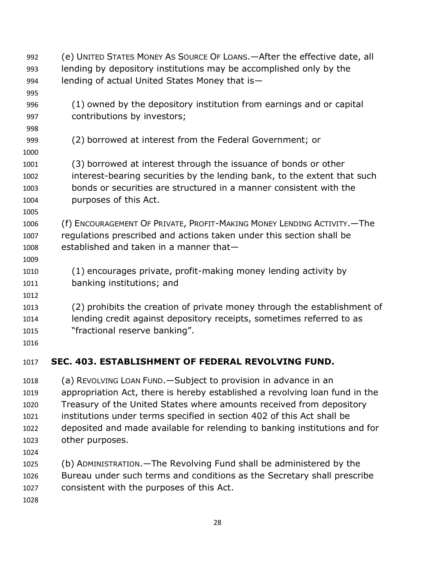- (e) UNITED STATES MONEY AS SOURCE OF LOANS.—After the effective date, all lending by depository institutions may be accomplished only by the lending of actual United States Money that is— (1) owned by the depository institution from earnings and or capital contributions by investors; (2) borrowed at interest from the Federal Government; or (3) borrowed at interest through the issuance of bonds or other interest-bearing securities by the lending bank, to the extent that such bonds or securities are structured in a manner consistent with the purposes of this Act. (f) ENCOURAGEMENT OF PRIVATE, PROFIT-MAKING MONEY LENDING ACTIVITY.—The regulations prescribed and actions taken under this section shall be established and taken in a manner that— (1) encourages private, profit-making money lending activity by banking institutions; and (2) prohibits the creation of private money through the establishment of lending credit against depository receipts, sometimes referred to as "fractional reserve banking". **SEC. 403. ESTABLISHMENT OF FEDERAL REVOLVING FUND.**  (a) REVOLVING LOAN FUND.—Subject to provision in advance in an appropriation Act, there is hereby established a revolving loan fund in the Treasury of the United States where amounts received from depository institutions under terms specified in section 402 of this Act shall be deposited and made available for relending to banking institutions and for
- other purposes.
- 
- (b) ADMINISTRATION.—The Revolving Fund shall be administered by the Bureau under such terms and conditions as the Secretary shall prescribe consistent with the purposes of this Act.
-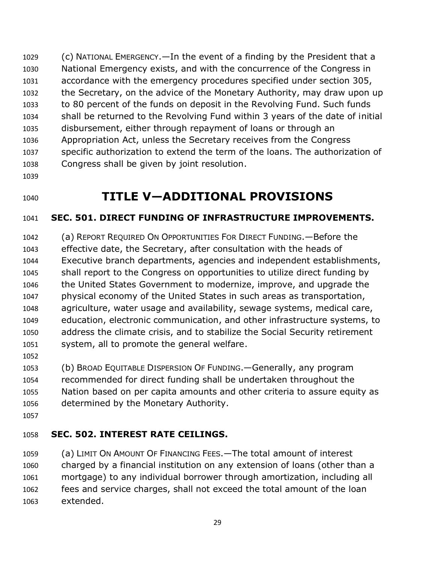(c) NATIONAL EMERGENCY.—In the event of a finding by the President that a National Emergency exists, and with the concurrence of the Congress in accordance with the emergency procedures specified under section 305, the Secretary, on the advice of the Monetary Authority, may draw upon up to 80 percent of the funds on deposit in the Revolving Fund. Such funds shall be returned to the Revolving Fund within 3 years of the date of initial disbursement, either through repayment of loans or through an Appropriation Act, unless the Secretary receives from the Congress specific authorization to extend the term of the loans. The authorization of Congress shall be given by joint resolution.

# **TITLE V—ADDITIONAL PROVISIONS**

## **SEC. 501. DIRECT FUNDING OF INFRASTRUCTURE IMPROVEMENTS.**

 (a) REPORT REQUIRED ON OPPORTUNITIES FOR DIRECT FUNDING.—Before the effective date, the Secretary, after consultation with the heads of Executive branch departments, agencies and independent establishments, shall report to the Congress on opportunities to utilize direct funding by the United States Government to modernize, improve, and upgrade the physical economy of the United States in such areas as transportation, agriculture, water usage and availability, sewage systems, medical care, education, electronic communication, and other infrastructure systems, to address the climate crisis, and to stabilize the Social Security retirement system, all to promote the general welfare.

 (b) BROAD EQUITABLE DISPERSION OF FUNDING.—Generally, any program recommended for direct funding shall be undertaken throughout the Nation based on per capita amounts and other criteria to assure equity as determined by the Monetary Authority.

## **SEC. 502. INTEREST RATE CEILINGS.**

 (a) LIMIT ON AMOUNT OF FINANCING FEES.—The total amount of interest charged by a financial institution on any extension of loans (other than a mortgage) to any individual borrower through amortization, including all fees and service charges, shall not exceed the total amount of the loan extended.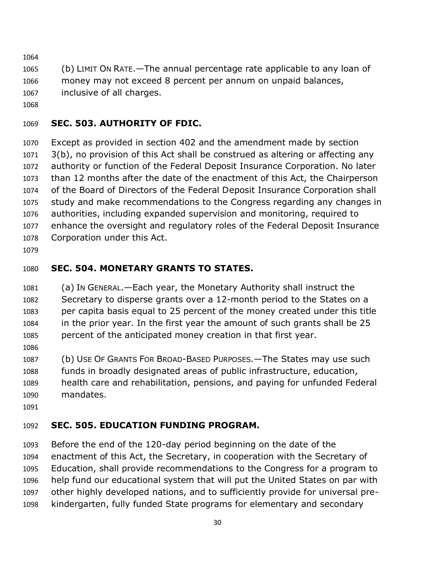- (b) LIMIT ON RATE.—The annual percentage rate applicable to any loan of money may not exceed 8 percent per annum on unpaid balances,
- inclusive of all charges.
- 

## **SEC. 503. AUTHORITY OF FDIC.**

 Except as provided in section 402 and the amendment made by section 3(b), no provision of this Act shall be construed as altering or affecting any authority or function of the Federal Deposit Insurance Corporation. No later than 12 months after the date of the enactment of this Act, the Chairperson of the Board of Directors of the Federal Deposit Insurance Corporation shall study and make recommendations to the Congress regarding any changes in authorities, including expanded supervision and monitoring, required to enhance the oversight and regulatory roles of the Federal Deposit Insurance Corporation under this Act.

## **SEC. 504. MONETARY GRANTS TO STATES.**

 (a) IN GENERAL.—Each year, the Monetary Authority shall instruct the Secretary to disperse grants over a 12-month period to the States on a per capita basis equal to 25 percent of the money created under this title in the prior year. In the first year the amount of such grants shall be 25 percent of the anticipated money creation in that first year.

 (b) USE OF GRANTS FOR BROAD-BASED PURPOSES.—The States may use such funds in broadly designated areas of public infrastructure, education, health care and rehabilitation, pensions, and paying for unfunded Federal mandates.

## **SEC. 505. EDUCATION FUNDING PROGRAM.**

 Before the end of the 120-day period beginning on the date of the enactment of this Act, the Secretary, in cooperation with the Secretary of Education, shall provide recommendations to the Congress for a program to help fund our educational system that will put the United States on par with other highly developed nations, and to sufficiently provide for universal pre-kindergarten, fully funded State programs for elementary and secondary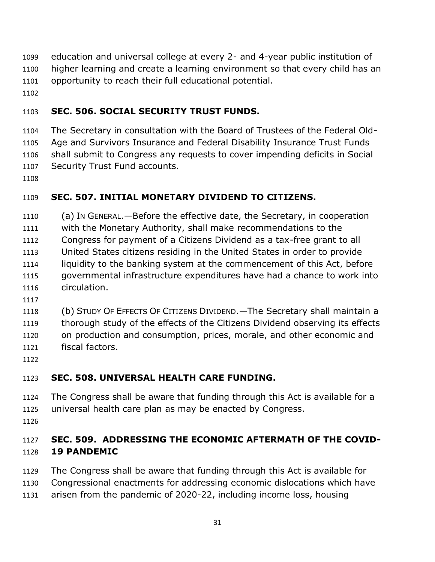education and universal college at every 2- and 4-year public institution of higher learning and create a learning environment so that every child has an opportunity to reach their full educational potential.

## **SEC. 506. SOCIAL SECURITY TRUST FUNDS.**

 The Secretary in consultation with the Board of Trustees of the Federal Old- Age and Survivors Insurance and Federal Disability Insurance Trust Funds shall submit to Congress any requests to cover impending deficits in Social Security Trust Fund accounts.

## **SEC. 507. INITIAL MONETARY DIVIDEND TO CITIZENS.**

(a) IN GENERAL.—Before the effective date, the Secretary, in cooperation

with the Monetary Authority, shall make recommendations to the

- Congress for payment of a Citizens Dividend as a tax-free grant to all
- United States citizens residing in the United States in order to provide liquidity to the banking system at the commencement of this Act, before governmental infrastructure expenditures have had a chance to work into circulation.
- 
- 

 (b) STUDY OF EFFECTS OF CITIZENS DIVIDEND.—The Secretary shall maintain a thorough study of the effects of the Citizens Dividend observing its effects on production and consumption, prices, morale, and other economic and fiscal factors.

## **SEC. 508. UNIVERSAL HEALTH CARE FUNDING.**

- The Congress shall be aware that funding through this Act is available for a
- universal health care plan as may be enacted by Congress.
- 

## **SEC. 509. ADDRESSING THE ECONOMIC AFTERMATH OF THE COVID-19 PANDEMIC**

- The Congress shall be aware that funding through this Act is available for
- Congressional enactments for addressing economic dislocations which have
- arisen from the pandemic of 2020-22, including income loss, housing